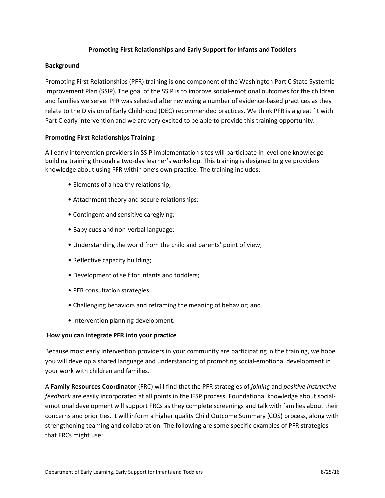## **Promoting First Relationships and Early Support for Infants and Toddlers**

## **Background**

Promoting First Relationships (PFR) training is one component of the Washington Part C State Systemic Improvement Plan (SSIP). The goal of the SSIP is to improve social-emotional outcomes for the children and families we serve. PFR was selected after reviewing a number of evidence-based practices as they relate to the Division of Early Childhood (DEC) recommended practices. We think PFR is a great fit with Part C early intervention and we are very excited to be able to provide this training opportunity.

## **Promoting First Relationships Training**

All early intervention providers in SSIP implementation sites will participate in level-one knowledge building training through a two-day learner's workshop. This training is designed to give providers knowledge about using PFR within one's own practice. The training includes:

- Elements of a healthy relationship;
- Attachment theory and secure relationships;
- Contingent and sensitive caregiving;
- Baby cues and non-verbal language;
- Understanding the world from the child and parents' point of view;
- Reflective capacity building;
- Development of self for infants and toddlers;
- PFR consultation strategies;
- Challenging behaviors and reframing the meaning of behavior; and
- Intervention planning development.

## **How you can integrate PFR into your practice**

Because most early intervention providers in your community are participating in the training, we hope you will develop a shared language and understanding of promoting social-emotional development in your work with children and families.

A **Family Resources Coordinator** (FRC) will find that the PFR strategies of *joining* and *positive instructive feedback* are easily incorporated at all points in the IFSP process. Foundational knowledge about socialemotional development will support FRCs as they complete screenings and talk with families about their concerns and priorities. It will inform a higher quality Child Outcome Summary (COS) process, along with strengthening teaming and collaboration. The following are some specific examples of PFR strategies that FRCs might use: